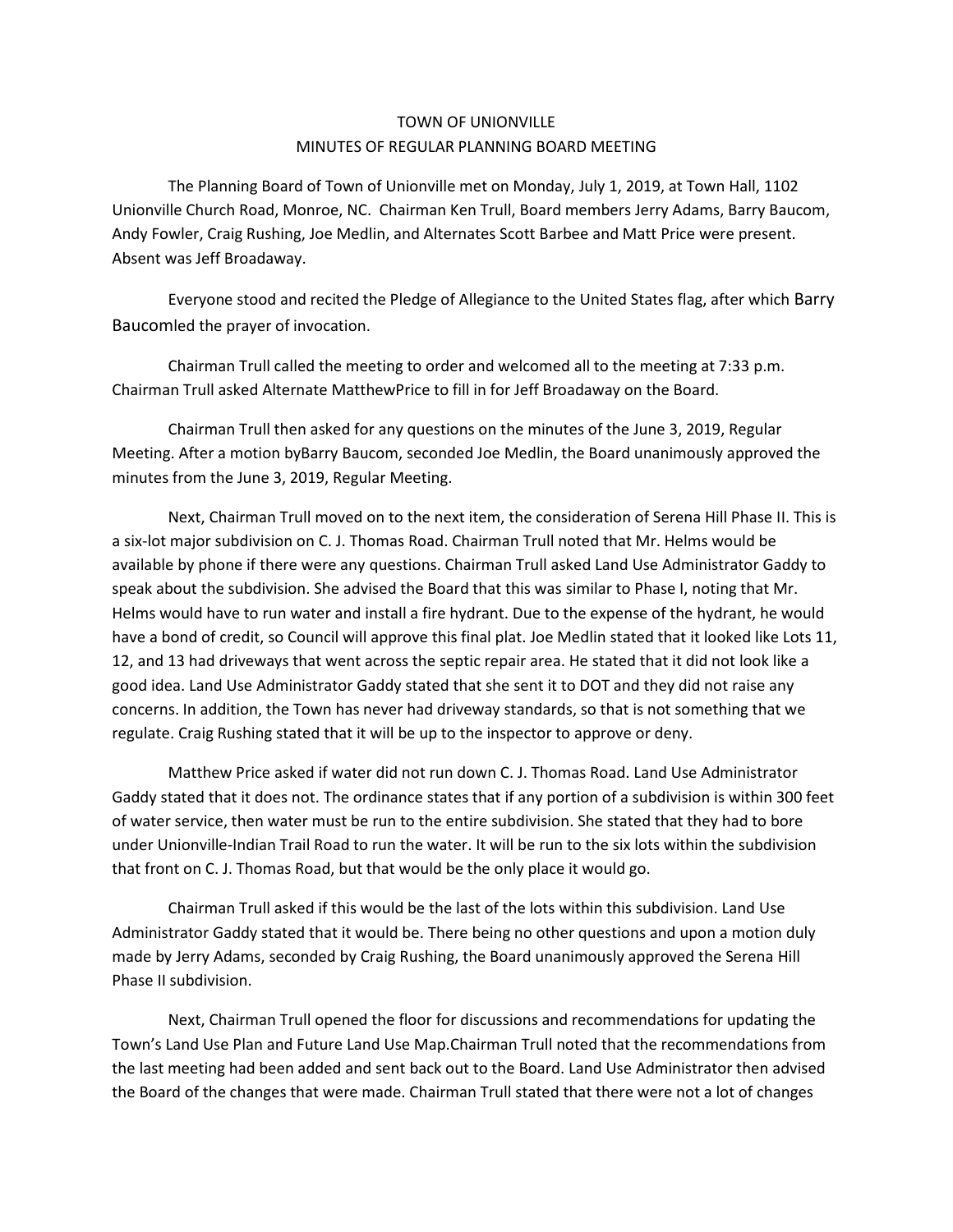## TOWN OF UNIONVILLE MINUTES OF REGULAR PLANNING BOARD MEETING

The Planning Board of Town of Unionville met on Monday, July 1, 2019, at Town Hall, 1102 Unionville Church Road, Monroe, NC. Chairman Ken Trull, Board members Jerry Adams, Barry Baucom, Andy Fowler, Craig Rushing, Joe Medlin, and Alternates Scott Barbee and Matt Price were present. Absent was Jeff Broadaway.

Everyone stood and recited the Pledge of Allegiance to the United States flag, after which Barry Baucomled the prayer of invocation.

Chairman Trull called the meeting to order and welcomed all to the meeting at 7:33 p.m. Chairman Trull asked Alternate MatthewPrice to fill in for Jeff Broadaway on the Board.

Chairman Trull then asked for any questions on the minutes of the June 3, 2019, Regular Meeting. After a motion byBarry Baucom, seconded Joe Medlin, the Board unanimously approved the minutes from the June 3, 2019, Regular Meeting.

Next, Chairman Trull moved on to the next item, the consideration of Serena Hill Phase II. This is a six-lot major subdivision on C. J. Thomas Road. Chairman Trull noted that Mr. Helms would be available by phone if there were any questions. Chairman Trull asked Land Use Administrator Gaddy to speak about the subdivision. She advised the Board that this was similar to Phase I, noting that Mr. Helms would have to run water and install a fire hydrant. Due to the expense of the hydrant, he would have a bond of credit, so Council will approve this final plat. Joe Medlin stated that it looked like Lots 11, 12, and 13 had driveways that went across the septic repair area. He stated that it did not look like a good idea. Land Use Administrator Gaddy stated that she sent it to DOT and they did not raise any concerns. In addition, the Town has never had driveway standards, so that is not something that we regulate. Craig Rushing stated that it will be up to the inspector to approve or deny.

Matthew Price asked if water did not run down C. J. Thomas Road. Land Use Administrator Gaddy stated that it does not. The ordinance states that if any portion of a subdivision is within 300 feet of water service, then water must be run to the entire subdivision. She stated that they had to bore under Unionville-Indian Trail Road to run the water. It will be run to the six lots within the subdivision that front on C. J. Thomas Road, but that would be the only place it would go.

Chairman Trull asked if this would be the last of the lots within this subdivision. Land Use Administrator Gaddy stated that it would be. There being no other questions and upon a motion duly made by Jerry Adams, seconded by Craig Rushing, the Board unanimously approved the Serena Hill Phase II subdivision.

Next, Chairman Trull opened the floor for discussions and recommendations for updating the Town's Land Use Plan and Future Land Use Map.Chairman Trull noted that the recommendations from the last meeting had been added and sent back out to the Board. Land Use Administrator then advised the Board of the changes that were made. Chairman Trull stated that there were not a lot of changes